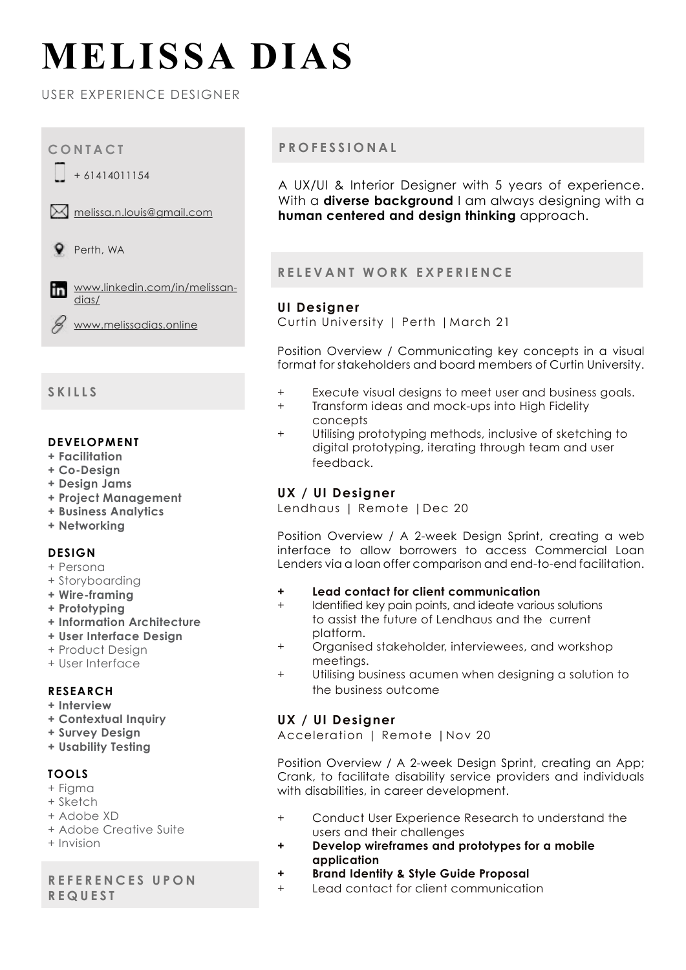# **MELISSA DIAS**

USER EXPERIENCE DESIGNER



# **SKILLS**

#### **DEVELOPMENT**

- **+ Facilitation**
- **+ Co-Design**
- **+ Design Jams**
- **+ Project Management**
- **+ Business Analytics**
- **+ Networking**

### **DESIGN**

- + Persona
- + Storyboarding
- **+ Wire-framing**
- **+ Prototyping**
- **+ Information Architecture**
- **+ User Interface Design**
- + Product Design
- + User Interface

## **RESEARCH**

- **+ Interview**
- **+ Contextual Inquiry**
- **+ Survey Design**
- **+ Usability Testing**

## **TOOLS**

- + Figma
- + Sketch
- + Adobe XD
- + Adobe Creative Suite
- + Invision

## **R E F E R E N C E S U P O N REQUEST**

## **PROFESSIONAL**

A UX/UI & Interior Designer with 5 years of experience. With a **diverse backaround** I am always designing with a **human centered and design thinking** approach.

## **RELEVANT WORK EXPERIENCE**

### **UI Designer**

Curtin University | Perth |March 21

Position Overview / Communicating key concepts in a visual format for stakeholders and board members of Curtin University.

- + Execute visual designs to meet user and business goals.
- + Transform ideas and mock-ups into High Fidelity concepts
- + Utilising prototyping methods, inclusive of sketching to digital prototyping, iterating through team and user feedback.

## **UX / UI Designer**

Lendhaus | Remote |Dec 20

Position Overview / A 2-week Design Sprint, creating a web interface to allow borrowers to access Commercial Loan Lenders via a loan offer comparison and end-to-end facilitation.

- **+ Lead contact for client communication**
- + Identified key pain points, and ideate various solutions to assist the future of Lendhaus and the current platform.
- + Organised stakeholder, interviewees, and workshop meetings.
- + Utilising business acumen when designing a solution to the business outcome

## **UX / UI Designer**

Acceleration | Remote |Nov 20

Position Overview / A 2-week Design Sprint, creating an App; Crank, to facilitate disability service providers and individuals with disabilities, in career development.

- + Conduct User Experience Research to understand the users and their challenges
- **+ Develop wireframes and prototypes for a mobile application**
- **+ Brand Identity & Style Guide Proposal**
- + Lead contact for client communication